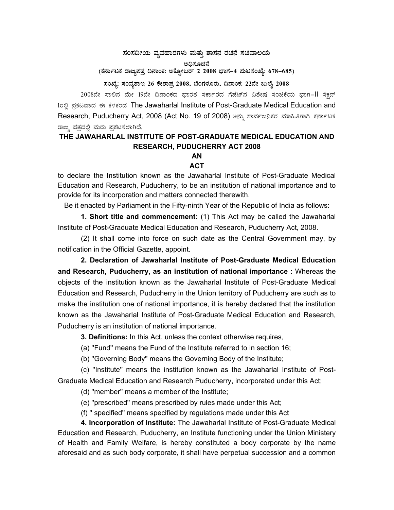## $\pi$ ನಂಸದೀಯ ವ್ಯವಹಾರಗಳು ಮತ್ತು ಶಾಸನ ರಚನೆ ಸಚಿವಾಲಯ

ಅಧಿಸೂಚನೆ

(ಕರ್ನಾಟಕ ರಾಜ್ಯಪತ್ರ ದಿನಾಂಕ: ಅಕ್ಟೋಬರ್ 2 2008 ಭಾಗ–4 **ಮಟಸಂಖ್ಯೆ: 678–685**)

ಸಂಖ್ಯೆ: ಸಂವ್ನಶಾಇ 26 ಕೇಶಾಪ್ರ 2008, ಬೆಂಗಳೂರು, ದಿನಾಂಕ: 22ನೇ ಜುಲೈ 2008

2008ನೇ ಸಾಲಿನ ಮೇ 19ನೇ ದಿನಾಂಕದ ಭಾರತ ಸರ್ಕಾರದ ಗೆಜೆಟ್ ವಿಶೇಷ ಸಂಚಿಕೆಯ ಭಾಗ-II ಸೆಕ್ಷನ್ Iರಲಿ ಪಕಟವಾದ ಈ ಕೆಳಕಂಡ The Jawaharlal Institute of Post-Graduate Medical Education and Research, Puducherry Act, 2008 (Act No. 19 of 2008) ಅನ್ನು ಸಾರ್ವಜನಿಕರ ಮಾಹಿತಿಗಾಗಿ ಕರ್ನಾಟಕ ರಾಜ್ಯ ಪತ್ರದಲ್ಲಿ ಮರು ಪ್ರಕಟಿಸಲಾಗಿದೆ.

## **THE JAWAHARLAL INSTITUTE OF POST-GRADUATE MEDICAL EDUCATION AND RESEARCH, PUDUCHERRY ACT 2008**

## **AN ACT**

to declare the Institution known as the Jawaharlal Institute of Post-Graduate Medical Education and Research, Puducherry, to be an institution of national importance and to provide for its incorporation and matters connected therewith.

Be it enacted by Parliament in the Fifty-ninth Year of the Republic of India as follows:

**1. Short title and commencement:** (1) This Act may be called the Jawaharlal Institute of Post-Graduate Medical Education and Research, Puducherry Act, 2008.

 (2) It shall come into force on such date as the Central Government may, by notification in the Official Gazette, appoint.

**2. Declaration of Jawaharlal Institute of Post-Graduate Medical Education and Research, Puducherry, as an institution of national importance :** Whereas the objects of the institution known as the Jawaharlal Institute of Post-Graduate Medical Education and Research, Puducherry in the Union territory of Puducherry are such as to make the institution one of national importance, it is hereby declared that the institution known as the Jawaharlal Institute of Post-Graduate Medical Education and Research, Puducherry is an institution of national importance.

**3. Definitions:** In this Act, unless the context otherwise requires,

(a) ''Fund'' means the Fund of the Institute referred to in section 16;

(b) ''Governing Body'' means the Governing Body of the Institute;

 (c) ''Institute'' means the institution known as the Jawaharlal Institute of Post-Graduate Medical Education and Research Puducherry, incorporated under this Act;

(d) ''member'' means a member of the Institute;

(e) ''prescribed'' means prescribed by rules made under this Act;

(f) '' specified'' means specified by regulations made under this Act

**4. Incorporation of Institute:** The Jawaharlal Institute of Post-Graduate Medical Education and Research, Puducherry, an Institute functioning under the Union Ministery of Health and Family Welfare, is hereby constituted a body corporate by the name aforesaid and as such body corporate, it shall have perpetual succession and a common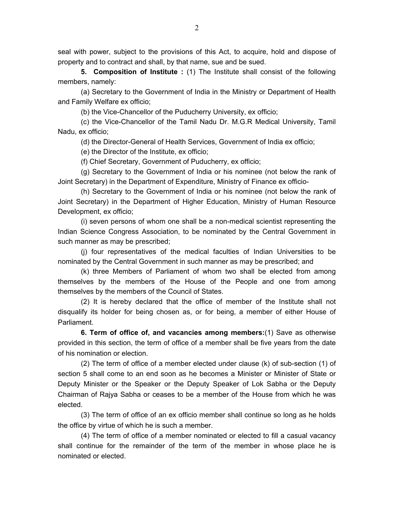seal with power, subject to the provisions of this Act, to acquire, hold and dispose of property and to contract and shall, by that name, sue and be sued.

**5. Composition of Institute :** (1) The Institute shall consist of the following members, namely:

 (a) Secretary to the Government of India in the Ministry or Department of Health and Family Welfare ex officio;

(b) the Vice-Chancellor of the Puducherry University, ex officio;

 (c) the Vice-Chancellor of the Tamil Nadu Dr. M.G.R Medical University, Tamil Nadu, ex officio;

(d) the Director-General of Health Services, Government of India ex officio;

(e) the Director of the Institute, ex officio;

(f) Chief Secretary, Government of Puducherry, ex officio;

 (g) Secretary to the Government of India or his nominee (not below the rank of Joint Secretary) in the Department of Expenditure, Ministry of Finance ex officio-

 (h) Secretary to the Government of India or his nominee (not below the rank of Joint Secretary) in the Department of Higher Education, Ministry of Human Resource Development, ex officio;

 (i) seven persons of whom one shall be a non-medical scientist representing the Indian Science Congress Association, to be nominated by the Central Government in such manner as may be prescribed;

 (j) four representatives of the medical faculties of Indian Universities to be nominated by the Central Government in such manner as may be prescribed; and

 (k) three Members of Parliament of whom two shall be elected from among themselves by the members of the House of the People and one from among themselves by the members of the Council of States.

 (2) It is hereby declared that the office of member of the Institute shall not disqualify its holder for being chosen as, or for being, a member of either House of Parliament.

**6. Term of office of, and vacancies among members:**(1) Save as otherwise provided in this section, the term of office of a member shall be five years from the date of his nomination or election.

 (2) The term of office of a member elected under clause (k) of sub-section (1) of section 5 shall come to an end soon as he becomes a Minister or Minister of State or Deputy Minister or the Speaker or the Deputy Speaker of Lok Sabha or the Deputy Chairman of Rajya Sabha or ceases to be a member of the House from which he was elected.

 (3) The term of office of an ex officio member shall continue so long as he holds the office by virtue of which he is such a member.

 (4) The term of office of a member nominated or elected to fill a casual vacancy shall continue for the remainder of the term of the member in whose place he is nominated or elected.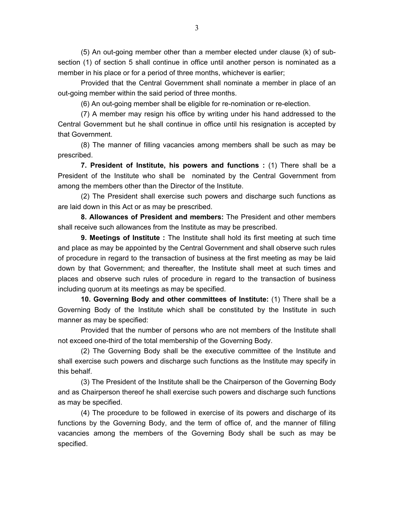(5) An out-going member other than a member elected under clause (k) of subsection (1) of section 5 shall continue in office until another person is nominated as a member in his place or for a period of three months, whichever is earlier;

 Provided that the Central Government shall nominate a member in place of an out-going member within the said period of three months.

(6) An out-going member shall be eligible for re-nomination or re-election.

 (7) A member may resign his office by writing under his hand addressed to the Central Government but he shall continue in office until his resignation is accepted by that Government.

 (8) The manner of filling vacancies among members shall be such as may be prescribed.

**7. President of Institute, his powers and functions :** (1) There shall be a President of the Institute who shall be nominated by the Central Government from among the members other than the Director of the Institute.

 (2) The President shall exercise such powers and discharge such functions as are laid down in this Act or as may be prescribed.

**8. Allowances of President and members:** The President and other members shall receive such allowances from the Institute as may be prescribed.

**9. Meetings of Institute :** The Institute shall hold its first meeting at such time and place as may be appointed by the Central Government and shall observe such rules of procedure in regard to the transaction of business at the first meeting as may be laid down by that Government; and thereafter, the Institute shall meet at such times and places and observe such rules of procedure in regard to the transaction of business including quorum at its meetings as may be specified.

**10. Governing Body and other committees of Institute:** (1) There shall be a Governing Body of the Institute which shall be constituted by the Institute in such manner as may be specified:

 Provided that the number of persons who are not members of the Institute shall not exceed one-third of the total membership of the Governing Body.

 (2) The Governing Body shall be the executive committee of the Institute and shall exercise such powers and discharge such functions as the Institute may specify in this behalf.

 (3) The President of the Institute shall be the Chairperson of the Governing Body and as Chairperson thereof he shall exercise such powers and discharge such functions as may be specified.

 (4) The procedure to be followed in exercise of its powers and discharge of its functions by the Governing Body, and the term of office of, and the manner of filling vacancies among the members of the Governing Body shall be such as may be specified.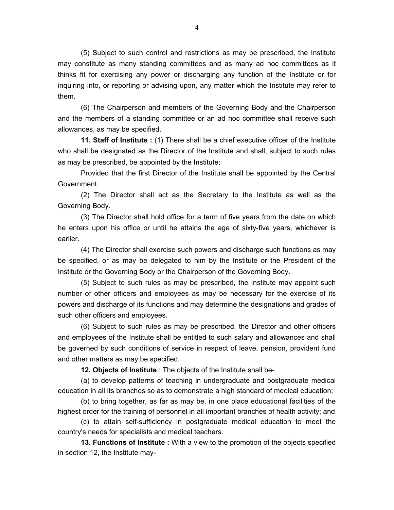(5) Subject to such control and restrictions as may be prescribed, the Institute may constitute as many standing committees and as many ad hoc committees as it thinks fit for exercising any power or discharging any function of the Institute or for inquiring into, or reporting or advising upon, any matter which the Institute may refer to them.

 (6) The Chairperson and members of the Governing Body and the Chairperson and the members of a standing committee or an ad hoc committee shall receive such allowances, as may be specified.

**11. Staff of Institute :** (1) There shall be a chief executive officer of the Institute who shall be designated as the Director of the Institute and shall, subject to such rules as may be prescribed, be appointed by the Institute:

 Provided that the first Director of the Institute shall be appointed by the Central Government.

 (2) The Director shall act as the Secretary to the Institute as well as the Governing Body.

 (3) The Director shall hold office for a term of five years from the date on which he enters upon his office or until he attains the age of sixty-five years, whichever is earlier.

 (4) The Director shall exercise such powers and discharge such functions as may be specified, or as may be delegated to him by the Institute or the President of the Institute or the Governing Body or the Chairperson of the Governing Body.

 (5) Subject to such rules as may be prescribed, the Institute may appoint such number of other officers and employees as may be necessary for the exercise of its powers and discharge of its functions and may determine the designations and grades of such other officers and employees.

 (6) Subject to such rules as may be prescribed, the Director and other officers and employees of the Institute shall be entitled to such salary and allowances and shall be governed by such conditions of service in respect of leave, pension, provident fund and other matters as may be specified.

**12. Objects of Institute** : The objects of the Institute shall be-

 (a) to develop patterns of teaching in undergraduate and postgraduate medical education in all its branches so as to demonstrate a high standard of medical education;

 (b) to bring together, as far as may be, in one place educational facilities of the highest order for the training of personnel in all important branches of health activity; and

 (c) to attain self-sufficiency in postgraduate medical education to meet the country's needs for specialists and medical teachers.

**13. Functions of Institute :** With a view to the promotion of the objects specified in section 12, the Institute may-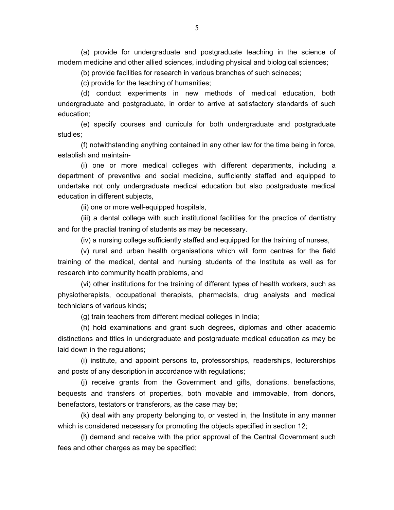(a) provide for undergraduate and postgraduate teaching in the science of modern medicine and other allied sciences, including physical and biological sciences;

(b) provide facilities for research in various branches of such scineces;

(c) provide for the teaching of humanities;

 (d) conduct experiments in new methods of medical education, both undergraduate and postgraduate, in order to arrive at satisfactory standards of such education;

 (e) specify courses and curricula for both undergraduate and postgraduate studies;

 (f) notwithstanding anything contained in any other law for the time being in force, establish and maintain-

 (i) one or more medical colleges with different departments, including a department of preventive and social medicine, sufficiently staffed and equipped to undertake not only undergraduate medical education but also postgraduate medical education in different subjects,

(ii) one or more well-equipped hospitals,

 (iii) a dental college with such institutional facilities for the practice of dentistry and for the practial traning of students as may be necessary.

(iv) a nursing college sufficiently staffed and equipped for the training of nurses,

 (v) rural and urban health organisations which will form centres for the field training of the medical, dental and nursing students of the Institute as well as for research into community health problems, and

 (vi) other institutions for the training of different types of health workers, such as physiotherapists, occupational therapists, pharmacists, drug analysts and medical technicians of various kinds;

(g) train teachers from different medical colleges in India;

 (h) hold examinations and grant such degrees, diplomas and other academic distinctions and titles in undergraduate and postgraduate medical education as may be laid down in the regulations;

 (i) institute, and appoint persons to, professorships, readerships, lecturerships and posts of any description in accordance with regulations;

 (j) receive grants from the Government and gifts, donations, benefactions, bequests and transfers of properties, both movable and immovable, from donors, benefactors, testators or transferors, as the case may be;

 (k) deal with any property belonging to, or vested in, the Institute in any manner which is considered necessary for promoting the objects specified in section 12;

 (l) demand and receive with the prior approval of the Central Government such fees and other charges as may be specified;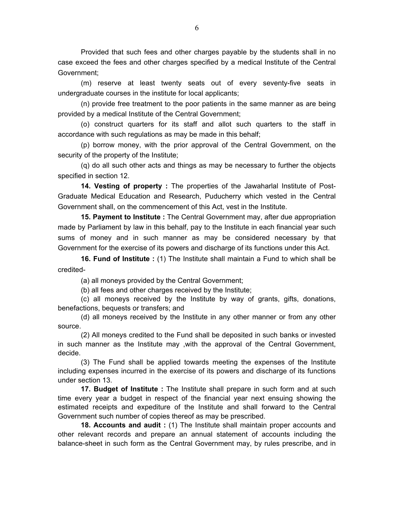Provided that such fees and other charges payable by the students shall in no case exceed the fees and other charges specified by a medical Institute of the Central Government;

 (m) reserve at least twenty seats out of every seventy-five seats in undergraduate courses in the institute for local applicants;

 (n) provide free treatment to the poor patients in the same manner as are being provided by a medical Institute of the Central Government;

 (o) construct quarters for its staff and allot such quarters to the staff in accordance with such regulations as may be made in this behalf;

 (p) borrow money, with the prior approval of the Central Government, on the security of the property of the Institute;

 (q) do all such other acts and things as may be necessary to further the objects specified in section 12.

**14. Vesting of property :** The properties of the Jawaharlal Institute of Post-Graduate Medical Education and Research, Puducherry which vested in the Central Government shall, on the commencement of this Act, vest in the Institute.

**15. Payment to Institute :** The Central Government may, after due appropriation made by Parliament by law in this behalf, pay to the Institute in each financial year such sums of money and in such manner as may be considered necessary by that Government for the exercise of its powers and discharge of its functions under this Act.

**16. Fund of Institute :** (1) The Institute shall maintain a Fund to which shall be credited-

(a) all moneys provided by the Central Government;

(b) all fees and other charges received by the Institute;

 (c) all moneys received by the Institute by way of grants, gifts, donations, benefactions, bequests or transfers; and

 (d) all moneys received by the Institute in any other manner or from any other source.

 (2) All moneys credited to the Fund shall be deposited in such banks or invested in such manner as the Institute may ,with the approval of the Central Government, decide.

 (3) The Fund shall be applied towards meeting the expenses of the Institute including expenses incurred in the exercise of its powers and discharge of its functions under section 13.

**17. Budget of Institute :** The Institute shall prepare in such form and at such time every year a budget in respect of the financial year next ensuing showing the estimated receipts and expediture of the Institute and shall forward to the Central Government such number of copies thereof as may be prescribed.

**18. Accounts and audit :** (1) The Institute shall maintain proper accounts and other relevant records and prepare an annual statement of accounts including the balance-sheet in such form as the Central Government may, by rules prescribe, and in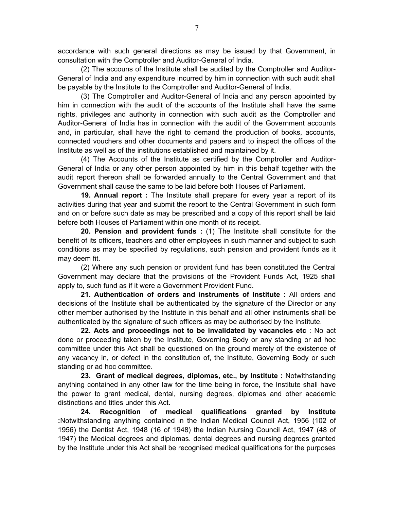accordance with such general directions as may be issued by that Government, in consultation with the Comptroller and Auditor-General of India.

 (2) The accouns of the Institute shall be audited by the Comptroller and Auditor-General of India and any expenditure incurred by him in connection with such audit shall be payable by the Institute to the Comptroller and Auditor-General of India.

 (3) The Comptroller and Auditor-General of India and any person appointed by him in connection with the audit of the accounts of the Institute shall have the same rights, privileges and authority in connection with such audit as the Comptroller and Auditor-General of India has in connection with the audit of the Government accounts and, in particular, shall have the right to demand the production of books, accounts, connected vouchers and other documents and papers and to inspect the offices of the Institute as well as of the institutions established and maintained by it.

 (4) The Accounts of the Institute as certified by the Comptroller and Auditor-General of India or any other person appointed by him in this behalf together with the audit report thereon shall be forwarded annually to the Central Government and that Government shall cause the same to be laid before both Houses of Parliament.

**19. Annual report :** The Institute shall prepare for every year a report of its activities during that year and submit the report to the Central Government in such form and on or before such date as may be prescribed and a copy of this report shall be laid before both Houses of Parliament within one month of its receipt.

**20. Pension and provident funds :** (1) The Institute shall constitute for the benefit of its officers, teachers and other employees in such manner and subject to such conditions as may be specified by regulations, such pension and provident funds as it may deem fit.

 (2) Where any such pension or provident fund has been constituted the Central Government may declare that the provisions of the Provident Funds Act, 1925 shall apply to, such fund as if it were a Government Provident Fund.

**21. Authentication of orders and instruments of Institute :** All orders and decisions of the Institute shall be authenticated by the signature of the Director or any other member authorised by the Institute in this behalf and all other instruments shall be authenticated by the signature of such officers as may be authorised by the Institute.

**22. Acts and proceedings not to be invalidated by vacancies etc** : No act done or proceeding taken by the Institute, Governing Body or any standing or ad hoc committee under this Act shall be questioned on the ground merely of the existence of any vacancy in, or defect in the constitution of, the Institute, Governing Body or such standing or ad hoc committee.

**23. Grant of medical degrees, diplomas, etc., by Institute :** Notwithstanding anything contained in any other law for the time being in force, the Institute shall have the power to grant medical, dental, nursing degrees, diplomas and other academic distinctions and titles under this Act.

**24. Recognition of medical qualifications granted by Institute :**Notwithstanding anything contained in the Indian Medical Council Act, 1956 (102 of 1956) the Dentist Act, 1948 (16 of 1948) the Indian Nursing Council Act, 1947 (48 of 1947) the Medical degrees and diplomas. dental degrees and nursing degrees granted by the Institute under this Act shall be recognised medical qualifications for the purposes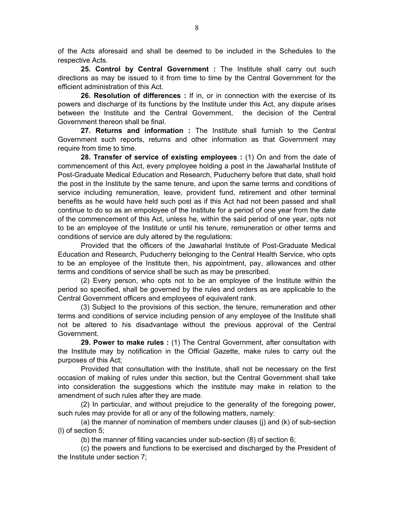of the Acts aforesaid and shall be deemed to be included in the Schedules to the respective Acts.

**25. Control by Central Government :** The Institute shall carry out such directions as may be issued to it from time to time by the Central Government for the efficient administration of this Act.

**26. Resolution of differences :** If in, or in connection with the exercise of its powers and discharge of its functions by the Institute under this Act, any dispute arises between the Institute and the Central Government, the decision of the Central Government thereon shall be final.

**27. Returns and information :** The Institute shall furnish to the Central Government such reports, returns and other information as that Government may require from time to time.

**28. Transfer of service of existing employees :** (1) On and from the date of commencement of this Act, every pmployee holding a post in the Jawaharlal Institute of Post-Graduate Medical Education and Research, Puducherry before that date, shall hold the post in the Institute by the same tenure, and upon the same terms and conditions of service including remuneration, leave, provident fund, retirement and other terminal benefits as he would have held such post as if this Act had not been passed and shall continue to do so as an empoloyee of the Institute for a period of one year from the date of the commencement of this Act, unless he, within the said period of one year, opts not to be an employee of the Institute or until his tenure, remuneration or other terms and conditions of service are duly altered by the regulations:

 Provided that the officers of the Jawaharlal Institute of Post-Graduate Medical Education and Research, Puducherry belonging to the Central Health Service, who opts to be an employee of the Institute then, his appointment, pay, allowances and other terms and conditions of service shall be such as may be prescribed.

 (2) Every person, who opts not to be an employee of the Institute within the period so specified, shall be governed by the rules and orders as are applicable to the Central Government officers and employees of equivalent rank.

 (3) Subject to the provisions of this section, the tenure, remuneration and other terms and conditions of service including pension of any employee of the Institute shall not be altered to his disadvantage without the previous approval of the Central Government.

**29. Power to make rules :** (1) The Central Government, after consultation with the Institute may by notification in the Official Gazette, make rules to carry out the purposes of this Act;

 Provided that consultation with the Institute, shall not be necessary on the first occasion of making of rules under this section, but the Central Government shall take into consideration the suggestions which the institute may make in relation to the amendment of such rules after they are made.

 (2) In particular, and without prejudice to the generality of the foregoing power, such rules may provide for all or any of the following matters, namely:

 (a) the manner of nomination of members under clauses (j) and (k) of sub-section (l) of section 5;

(b) the manner of filling vacancies under sub-section (8) of section 6;

 (c) the powers and functions to be exercised and discharged by the President of the Institute under section 7;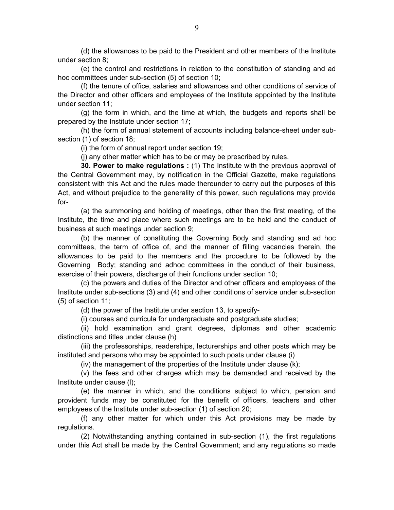(d) the allowances to be paid to the President and other members of the Institute under section 8;

 (e) the control and restrictions in relation to the constitution of standing and ad hoc committees under sub-section (5) of section 10;

 (f) the tenure of office, salaries and allowances and other conditions of service of the Director and other officers and employees of the Institute appointed by the Institute under section 11;

 (g) the form in which, and the time at which, the budgets and reports shall be prepared by the Institute under section 17;

 (h) the form of annual statement of accounts including balance-sheet under subsection (1) of section 18;

(i) the form of annual report under section 19;

(j) any other matter which has to be or may be prescribed by rules.

**30. Power to make regulations :** (1) The Institute with the previous approval of the Central Government may, by notification in the Official Gazette, make regulations consistent with this Act and the rules made thereunder to carry out the purposes of this Act, and without prejudice to the generality of this power, such regulations may provide for-

 (a) the summoning and holding of meetings, other than the first meeting, of the Institute, the time and place where such meetings are to be held and the conduct of business at such meetings under section 9;

 (b) the manner of constituting the Governing Body and standing and ad hoc committees, the term of office of, and the manner of filling vacancies therein, the allowances to be paid to the members and the procedure to be followed by the Governing Body; standing and adhoc committees in the conduct of their business, exercise of their powers, discharge of their functions under section 10;

 (c) the powers and duties of the Director and other officers and employees of the Institute under sub-sections (3) and (4) and other conditions of service under sub-section (5) of section 11;

(d) the power of the Institute under section 13, to specify-

(i) courses and curricula for undergraduate and postgraduate studies;

 (ii) hold examination and grant degrees, diplomas and other academic distinctions and titles under clause (h)

 (iii) the professorships, readerships, lecturerships and other posts which may be instituted and persons who may be appointed to such posts under clause (i)

(iv) the management of the properties of the Institute under clause (k);

 (v) the fees and other charges which may be demanded and received by the Institute under clause (l);

 (e) the manner in which, and the conditions subject to which, pension and provident funds may be constituted for the benefit of officers, teachers and other employees of the Institute under sub-section (1) of section 20;

 (f) any other matter for which under this Act provisions may be made by regulations.

 (2) Notwithstanding anything contained in sub-section (1), the first regulations under this Act shall be made by the Central Government; and any regulations so made